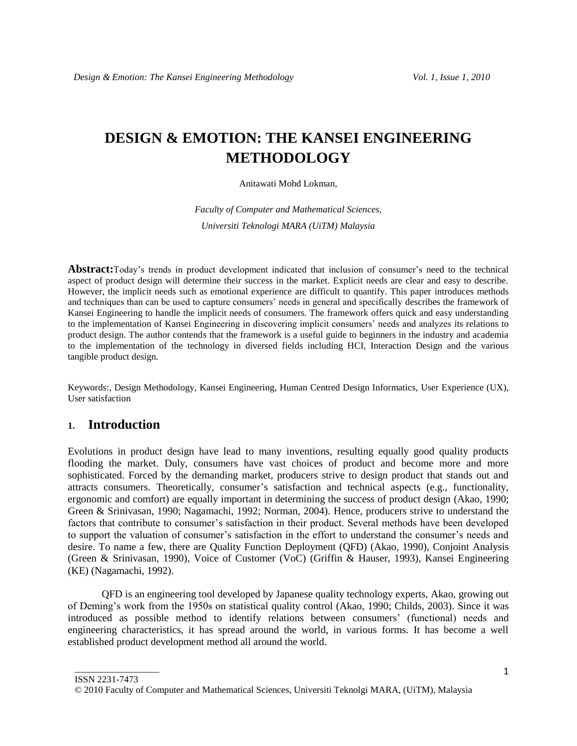# **DESIGN & EMOTION: THE KANSEI ENGINEERING METHODOLOGY**

#### Anitawati Mohd Lokman*,*

*Faculty of Computer and Mathematical Sciences, Universiti Teknologi MARA (UiTM) Malaysia*

Abstract:Today's trends in product development indicated that inclusion of consumer's need to the technical aspect of product design will determine their success in the market. Explicit needs are clear and easy to describe. However, the implicit needs such as emotional experience are difficult to quantify. This paper introduces methods and techniques than can be used to capture consumers" needs in general and specifically describes the framework of Kansei Engineering to handle the implicit needs of consumers. The framework offers quick and easy understanding to the implementation of Kansei Engineering in discovering implicit consumers" needs and analyzes its relations to product design. The author contends that the framework is a useful guide to beginners in the industry and academia to the implementation of the technology in diversed fields including HCI, Interaction Design and the various tangible product design.

Keywords:, Design Methodology, Kansei Engineering, Human Centred Design Informatics, User Experience (UX), User satisfaction

# **1. Introduction**

Evolutions in product design have lead to many inventions, resulting equally good quality products flooding the market. Duly, consumers have vast choices of product and become more and more sophisticated. Forced by the demanding market, producers strive to design product that stands out and attracts consumers. Theoretically, consumer"s satisfaction and technical aspects (e.g., functionality, ergonomic and comfort) are equally important in determining the success of product design (Akao, 1990; Green & Srinivasan, 1990; Nagamachi, 1992; Norman, 2004). Hence, producers strive to understand the factors that contribute to consumer"s satisfaction in their product. Several methods have been developed to support the valuation of consumer"s satisfaction in the effort to understand the consumer"s needs and desire. To name a few, there are Quality Function Deployment (QFD) (Akao, 1990), Conjoint Analysis (Green & Srinivasan, 1990), Voice of Customer (VoC) (Griffin & Hauser, 1993), Kansei Engineering (KE) (Nagamachi, 1992).

QFD is an engineering tool developed by Japanese quality technology experts, Akao, growing out of Deming"s work from the 1950s on statistical quality control (Akao, 1990; Childs, 2003). Since it was introduced as possible method to identify relations between consumers" (functional) needs and engineering characteristics, it has spread around the world, in various forms. It has become a well established product development method all around the world.

ISSN 2231-7473

\_\_\_\_\_\_\_\_\_\_\_\_\_\_\_\_\_\_

<sup>© 2010</sup> Faculty of Computer and Mathematical Sciences, Universiti Teknolgi MARA, (UiTM), Malaysia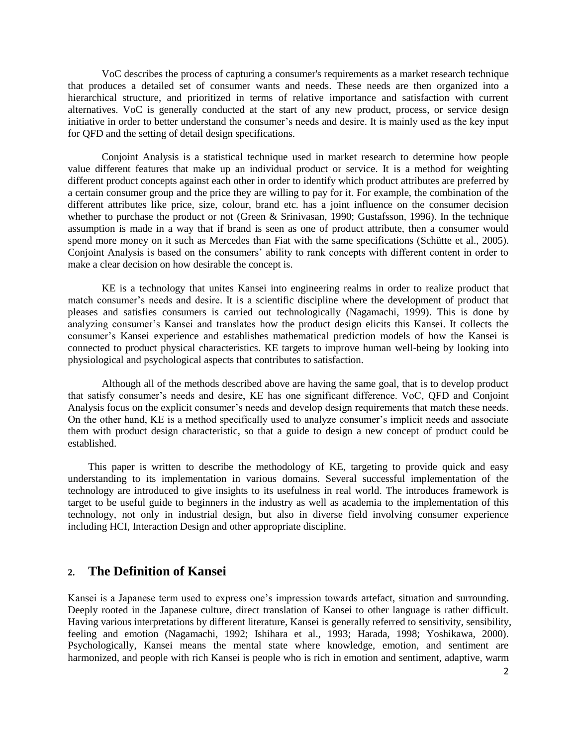VoC describes the process of capturing a consumer's requirements as a market research technique that produces a detailed set of consumer wants and needs. These needs are then organized into a hierarchical structure, and prioritized in terms of relative importance and satisfaction with current alternatives. VoC is generally conducted at the start of any new product, process, or service design initiative in order to better understand the consumer's needs and desire. It is mainly used as the key input for QFD and the setting of detail design specifications.

Conjoint Analysis is a statistical technique used in market research to determine how people value different features that make up an individual product or service. It is a method for weighting different product concepts against each other in order to identify which product attributes are preferred by a certain consumer group and the price they are willing to pay for it. For example, the combination of the different attributes like price, size, colour, brand etc. has a joint influence on the consumer decision whether to purchase the product or not (Green & Srinivasan, 1990; Gustafsson, 1996). In the technique assumption is made in a way that if brand is seen as one of product attribute, then a consumer would spend more money on it such as Mercedes than Fiat with the same specifications (Schütte et al., 2005). Conjoint Analysis is based on the consumers" ability to rank concepts with different content in order to make a clear decision on how desirable the concept is.

KE is a technology that unites Kansei into engineering realms in order to realize product that match consumer"s needs and desire. It is a scientific discipline where the development of product that pleases and satisfies consumers is carried out technologically (Nagamachi, 1999). This is done by analyzing consumer"s Kansei and translates how the product design elicits this Kansei. It collects the consumer"s Kansei experience and establishes mathematical prediction models of how the Kansei is connected to product physical characteristics. KE targets to improve human well-being by looking into physiological and psychological aspects that contributes to satisfaction.

Although all of the methods described above are having the same goal, that is to develop product that satisfy consumer's needs and desire, KE has one significant difference. VoC, QFD and Conjoint Analysis focus on the explicit consumer"s needs and develop design requirements that match these needs. On the other hand, KE is a method specifically used to analyze consumer's implicit needs and associate them with product design characteristic, so that a guide to design a new concept of product could be established.

This paper is written to describe the methodology of KE, targeting to provide quick and easy understanding to its implementation in various domains. Several successful implementation of the technology are introduced to give insights to its usefulness in real world. The introduces framework is target to be useful guide to beginners in the industry as well as academia to the implementation of this technology, not only in industrial design, but also in diverse field involving consumer experience including HCI, Interaction Design and other appropriate discipline.

# **2. The Definition of Kansei**

Kansei is a Japanese term used to express one"s impression towards artefact, situation and surrounding. Deeply rooted in the Japanese culture, direct translation of Kansei to other language is rather difficult. Having various interpretations by different literature, Kansei is generally referred to sensitivity, sensibility, feeling and emotion (Nagamachi, 1992; Ishihara et al., 1993; Harada, 1998; Yoshikawa, 2000). Psychologically, Kansei means the mental state where knowledge, emotion, and sentiment are harmonized, and people with rich Kansei is people who is rich in emotion and sentiment, adaptive, warm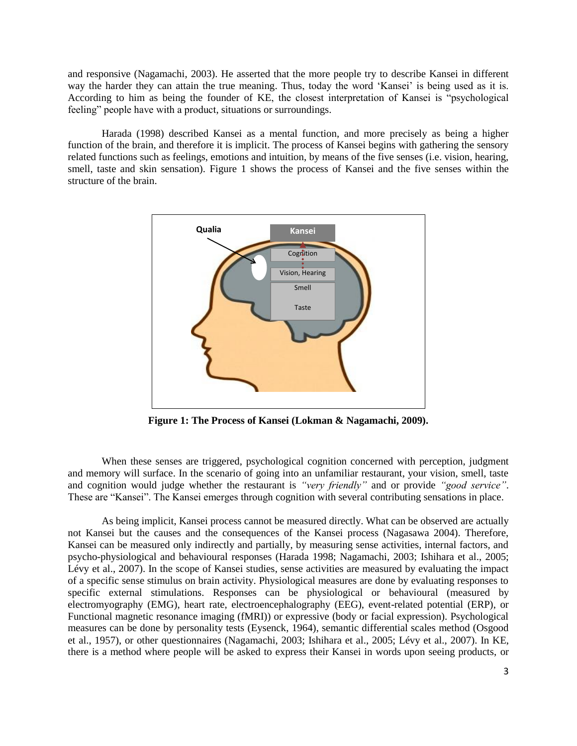and responsive (Nagamachi, 2003). He asserted that the more people try to describe Kansei in different way the harder they can attain the true meaning. Thus, today the word "Kansei" is being used as it is. According to him as being the founder of KE, the closest interpretation of Kansei is "psychological feeling" people have with a product, situations or surroundings.

Harada (1998) described Kansei as a mental function, and more precisely as being a higher function of the brain, and therefore it is implicit. The process of Kansei begins with gathering the sensory related functions such as feelings, emotions and intuition, by means of the five senses (i.e. vision, hearing, smell, taste and skin sensation). Figure 1 shows the process of Kansei and the five senses within the structure of the brain.



**Figure 1: The Process of Kansei (Lokman & Nagamachi, 2009).**

When these senses are triggered, psychological cognition concerned with perception, judgment and memory will surface. In the scenario of going into an unfamiliar restaurant, your vision, smell, taste and cognition would judge whether the restaurant is *"very friendly"* and or provide *"good service"*. These are "Kansei". The Kansei emerges through cognition with several contributing sensations in place.

As being implicit, Kansei process cannot be measured directly. What can be observed are actually not Kansei but the causes and the consequences of the Kansei process (Nagasawa 2004). Therefore, Kansei can be measured only indirectly and partially, by measuring sense activities, internal factors, and psycho-physiological and behavioural responses (Harada 1998; Nagamachi, 2003; Ishihara et al., 2005; Lévy et al., 2007). In the scope of Kansei studies, sense activities are measured by evaluating the impact of a specific sense stimulus on brain activity. Physiological measures are done by evaluating responses to specific external stimulations. Responses can be physiological or behavioural (measured by electromyography (EMG), heart rate, electroencephalography (EEG), event-related potential (ERP), or Functional magnetic resonance imaging (fMRI)) or expressive (body or facial expression). Psychological measures can be done by personality tests (Eysenck, 1964), semantic differential scales method (Osgood et al., 1957), or other questionnaires (Nagamachi, 2003; Ishihara et al., 2005; Lévy et al., 2007). In KE, there is a method where people will be asked to express their Kansei in words upon seeing products, or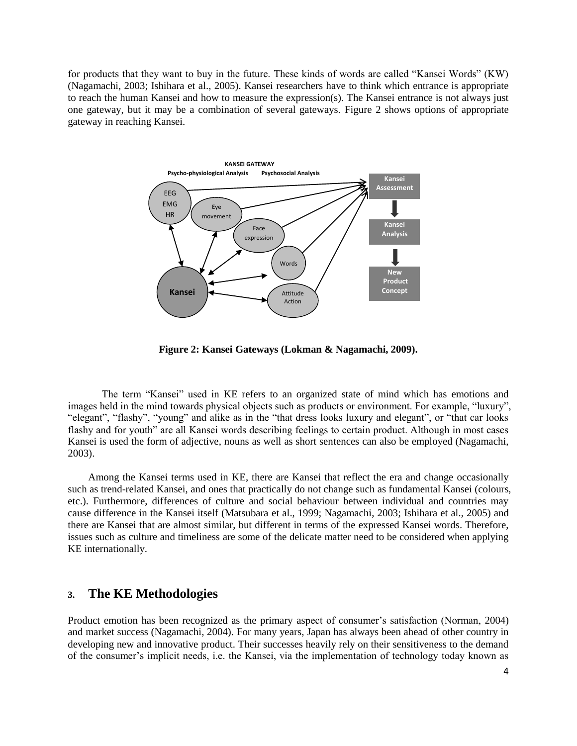for products that they want to buy in the future. These kinds of words are called "Kansei Words" (KW) (Nagamachi, 2003; Ishihara et al., 2005). Kansei researchers have to think which entrance is appropriate to reach the human Kansei and how to measure the expression(s). The Kansei entrance is not always just one gateway, but it may be a combination of several gateways. Figure 2 shows options of appropriate gateway in reaching Kansei.



**Figure 2: Kansei Gateways (Lokman & Nagamachi, 2009).**

The term "Kansei" used in KE refers to an organized state of mind which has emotions and images held in the mind towards physical objects such as products or environment. For example, "luxury", "elegant", "flashy", "young" and alike as in the "that dress looks luxury and elegant", or "that car looks flashy and for youth" are all Kansei words describing feelings to certain product. Although in most cases Kansei is used the form of adjective, nouns as well as short sentences can also be employed (Nagamachi, 2003).

Among the Kansei terms used in KE, there are Kansei that reflect the era and change occasionally such as trend-related Kansei, and ones that practically do not change such as fundamental Kansei (colours, etc.). Furthermore, differences of culture and social behaviour between individual and countries may cause difference in the Kansei itself (Matsubara et al., 1999; Nagamachi, 2003; Ishihara et al., 2005) and there are Kansei that are almost similar, but different in terms of the expressed Kansei words. Therefore, issues such as culture and timeliness are some of the delicate matter need to be considered when applying KE internationally.

# **3. The KE Methodologies**

Product emotion has been recognized as the primary aspect of consumer's satisfaction (Norman, 2004) and market success (Nagamachi, 2004). For many years, Japan has always been ahead of other country in developing new and innovative product. Their successes heavily rely on their sensitiveness to the demand of the consumer"s implicit needs, i.e. the Kansei, via the implementation of technology today known as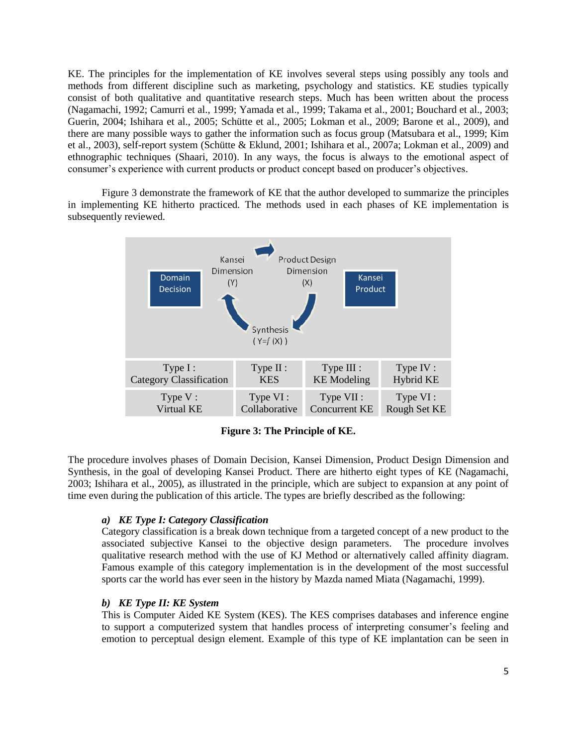KE. The principles for the implementation of KE involves several steps using possibly any tools and methods from different discipline such as marketing, psychology and statistics. KE studies typically consist of both qualitative and quantitative research steps. Much has been written about the process (Nagamachi, 1992; Camurri et al., 1999; Yamada et al., 1999; Takama et al., 2001; Bouchard et al., 2003; Guerin, 2004; Ishihara et al., 2005; Schütte et al., 2005; Lokman et al., 2009; Barone et al., 2009), and there are many possible ways to gather the information such as focus group (Matsubara et al., 1999; Kim et al., 2003), self-report system (Schütte & Eklund, 2001; Ishihara et al., 2007a; Lokman et al., 2009) and ethnographic techniques (Shaari, 2010). In any ways, the focus is always to the emotional aspect of consumer's experience with current products or product concept based on producer's objectives.

Figure 3 demonstrate the framework of KE that the author developed to summarize the principles in implementing KE hitherto practiced. The methods used in each phases of KE implementation is subsequently reviewed.



**Figure 3: The Principle of KE.**

The procedure involves phases of Domain Decision, Kansei Dimension, Product Design Dimension and Synthesis, in the goal of developing Kansei Product. There are hitherto eight types of KE (Nagamachi, 2003; Ishihara et al., 2005), as illustrated in the principle, which are subject to expansion at any point of time even during the publication of this article. The types are briefly described as the following:

# *a) KE Type I: Category Classification*

Category classification is a break down technique from a targeted concept of a new product to the associated subjective Kansei to the objective design parameters. The procedure involves qualitative research method with the use of KJ Method or alternatively called affinity diagram. Famous example of this category implementation is in the development of the most successful sports car the world has ever seen in the history by Mazda named Miata (Nagamachi, 1999).

#### *b) KE Type II: KE System*

This is Computer Aided KE System (KES). The KES comprises databases and inference engine to support a computerized system that handles process of interpreting consumer"s feeling and emotion to perceptual design element. Example of this type of KE implantation can be seen in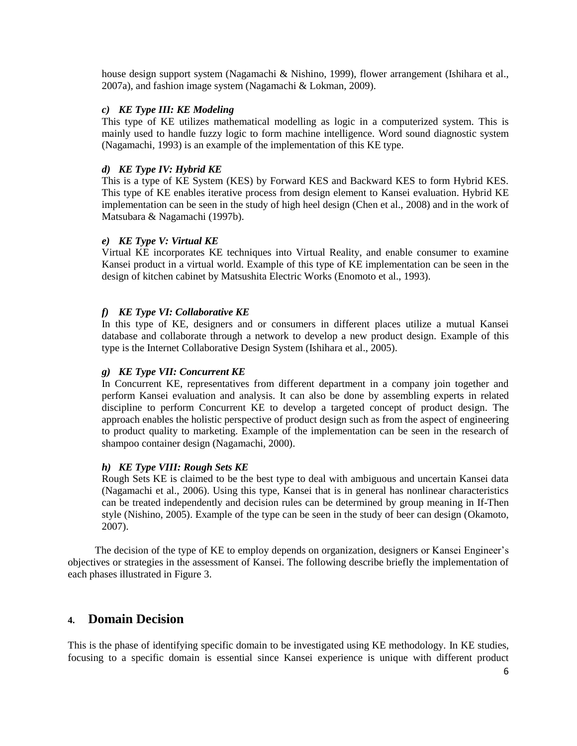house design support system (Nagamachi & Nishino, 1999), flower arrangement (Ishihara et al., 2007a), and fashion image system (Nagamachi & Lokman, 2009).

# *c) KE Type III: KE Modeling*

This type of KE utilizes mathematical modelling as logic in a computerized system. This is mainly used to handle fuzzy logic to form machine intelligence. Word sound diagnostic system (Nagamachi, 1993) is an example of the implementation of this KE type.

## *d) KE Type IV: Hybrid KE*

This is a type of KE System (KES) by Forward KES and Backward KES to form Hybrid KES. This type of KE enables iterative process from design element to Kansei evaluation. Hybrid KE implementation can be seen in the study of high heel design (Chen et al., 2008) and in the work of Matsubara & Nagamachi (1997b).

### *e) KE Type V: Virtual KE*

Virtual KE incorporates KE techniques into Virtual Reality, and enable consumer to examine Kansei product in a virtual world. Example of this type of KE implementation can be seen in the design of kitchen cabinet by Matsushita Electric Works (Enomoto et al., 1993).

# *f) KE Type VI: Collaborative KE*

In this type of KE, designers and or consumers in different places utilize a mutual Kansei database and collaborate through a network to develop a new product design. Example of this type is the Internet Collaborative Design System (Ishihara et al., 2005).

## *g) KE Type VII: Concurrent KE*

In Concurrent KE, representatives from different department in a company join together and perform Kansei evaluation and analysis. It can also be done by assembling experts in related discipline to perform Concurrent KE to develop a targeted concept of product design. The approach enables the holistic perspective of product design such as from the aspect of engineering to product quality to marketing. Example of the implementation can be seen in the research of shampoo container design (Nagamachi, 2000).

#### *h) KE Type VIII: Rough Sets KE*

Rough Sets KE is claimed to be the best type to deal with ambiguous and uncertain Kansei data (Nagamachi et al., 2006). Using this type, Kansei that is in general has nonlinear characteristics can be treated independently and decision rules can be determined by group meaning in If-Then style (Nishino, 2005). Example of the type can be seen in the study of beer can design (Okamoto, 2007).

The decision of the type of KE to employ depends on organization, designers or Kansei Engineer"s objectives or strategies in the assessment of Kansei. The following describe briefly the implementation of each phases illustrated in Figure 3.

# **4. Domain Decision**

This is the phase of identifying specific domain to be investigated using KE methodology. In KE studies, focusing to a specific domain is essential since Kansei experience is unique with different product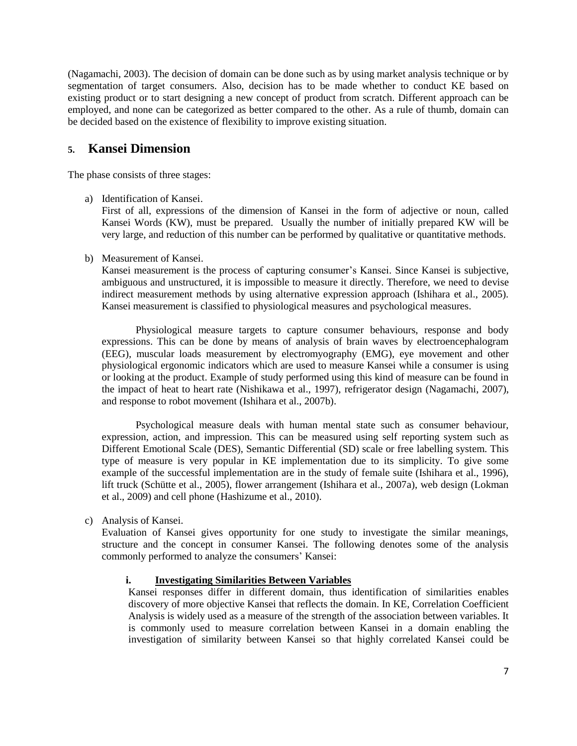(Nagamachi, 2003). The decision of domain can be done such as by using market analysis technique or by segmentation of target consumers. Also, decision has to be made whether to conduct KE based on existing product or to start designing a new concept of product from scratch. Different approach can be employed, and none can be categorized as better compared to the other. As a rule of thumb, domain can be decided based on the existence of flexibility to improve existing situation.

# **5. Kansei Dimension**

The phase consists of three stages:

a) Identification of Kansei.

First of all, expressions of the dimension of Kansei in the form of adjective or noun, called Kansei Words (KW), must be prepared. Usually the number of initially prepared KW will be very large, and reduction of this number can be performed by qualitative or quantitative methods.

b) Measurement of Kansei.

Kansei measurement is the process of capturing consumer's Kansei. Since Kansei is subjective, ambiguous and unstructured, it is impossible to measure it directly. Therefore, we need to devise indirect measurement methods by using alternative expression approach (Ishihara et al., 2005). Kansei measurement is classified to physiological measures and psychological measures.

Physiological measure targets to capture consumer behaviours, response and body expressions. This can be done by means of analysis of brain waves by electroencephalogram (EEG), muscular loads measurement by electromyography (EMG), eye movement and other physiological ergonomic indicators which are used to measure Kansei while a consumer is using or looking at the product. Example of study performed using this kind of measure can be found in the impact of heat to heart rate (Nishikawa et al., 1997), refrigerator design (Nagamachi, 2007), and response to robot movement (Ishihara et al., 2007b).

Psychological measure deals with human mental state such as consumer behaviour, expression, action, and impression. This can be measured using self reporting system such as Different Emotional Scale (DES), Semantic Differential (SD) scale or free labelling system. This type of measure is very popular in KE implementation due to its simplicity. To give some example of the successful implementation are in the study of female suite (Ishihara et al., 1996), lift truck (Schütte et al., 2005), flower arrangement (Ishihara et al., 2007a), web design (Lokman et al., 2009) and cell phone (Hashizume et al., 2010).

c) Analysis of Kansei.

Evaluation of Kansei gives opportunity for one study to investigate the similar meanings, structure and the concept in consumer Kansei. The following denotes some of the analysis commonly performed to analyze the consumers' Kansei:

# **i. Investigating Similarities Between Variables**

Kansei responses differ in different domain, thus identification of similarities enables discovery of more objective Kansei that reflects the domain. In KE, Correlation Coefficient Analysis is widely used as a measure of the strength of the association between variables. It is commonly used to measure correlation between Kansei in a domain enabling the investigation of similarity between Kansei so that highly correlated Kansei could be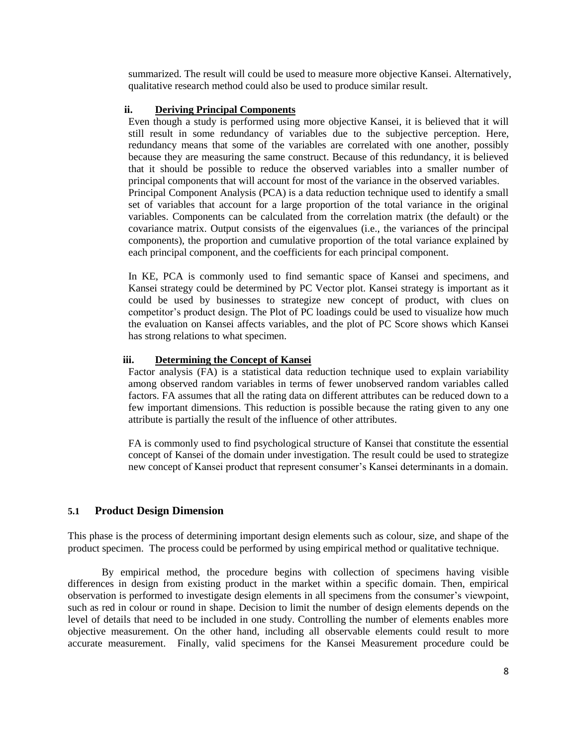summarized. The result will could be used to measure more objective Kansei. Alternatively, qualitative research method could also be used to produce similar result.

# **ii. Deriving Principal Components**

Even though a study is performed using more objective Kansei, it is believed that it will still result in some redundancy of variables due to the subjective perception. Here, redundancy means that some of the variables are correlated with one another, possibly because they are measuring the same construct. Because of this redundancy, it is believed that it should be possible to reduce the observed variables into a smaller number of principal components that will account for most of the variance in the observed variables. Principal Component Analysis (PCA) is a data reduction technique used to identify a small set of variables that account for a large proportion of the total variance in the original variables. Components can be calculated from the correlation matrix (the default) or the covariance matrix. Output consists of the eigenvalues (i.e., the variances of the principal components), the proportion and cumulative proportion of the total variance explained by each principal component, and the coefficients for each principal component.

In KE, PCA is commonly used to find semantic space of Kansei and specimens, and Kansei strategy could be determined by PC Vector plot. Kansei strategy is important as it could be used by businesses to strategize new concept of product, with clues on competitor"s product design. The Plot of PC loadings could be used to visualize how much the evaluation on Kansei affects variables, and the plot of PC Score shows which Kansei has strong relations to what specimen.

### **iii. Determining the Concept of Kansei**

Factor analysis (FA) is a statistical data reduction technique used to explain variability among observed random variables in terms of fewer unobserved random variables called factors. FA assumes that all the rating data on different attributes can be reduced down to a few important dimensions. This reduction is possible because the rating given to any one attribute is partially the result of the influence of other attributes.

FA is commonly used to find psychological structure of Kansei that constitute the essential concept of Kansei of the domain under investigation. The result could be used to strategize new concept of Kansei product that represent consumer"s Kansei determinants in a domain.

# **5.1 Product Design Dimension**

This phase is the process of determining important design elements such as colour, size, and shape of the product specimen. The process could be performed by using empirical method or qualitative technique.

By empirical method, the procedure begins with collection of specimens having visible differences in design from existing product in the market within a specific domain. Then, empirical observation is performed to investigate design elements in all specimens from the consumer's viewpoint, such as red in colour or round in shape. Decision to limit the number of design elements depends on the level of details that need to be included in one study. Controlling the number of elements enables more objective measurement. On the other hand, including all observable elements could result to more accurate measurement. Finally, valid specimens for the Kansei Measurement procedure could be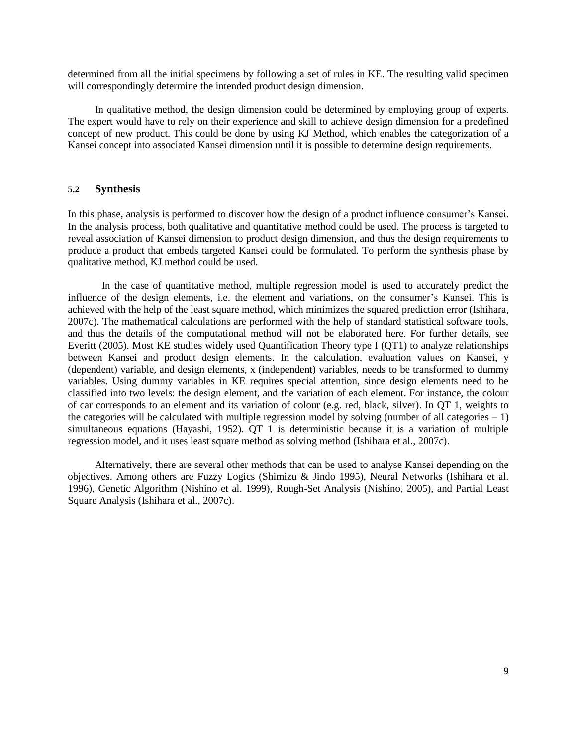determined from all the initial specimens by following a set of rules in KE. The resulting valid specimen will correspondingly determine the intended product design dimension.

In qualitative method, the design dimension could be determined by employing group of experts. The expert would have to rely on their experience and skill to achieve design dimension for a predefined concept of new product. This could be done by using KJ Method, which enables the categorization of a Kansei concept into associated Kansei dimension until it is possible to determine design requirements.

#### **5.2 Synthesis**

In this phase, analysis is performed to discover how the design of a product influence consumer"s Kansei. In the analysis process, both qualitative and quantitative method could be used. The process is targeted to reveal association of Kansei dimension to product design dimension, and thus the design requirements to produce a product that embeds targeted Kansei could be formulated. To perform the synthesis phase by qualitative method, KJ method could be used.

In the case of quantitative method, multiple regression model is used to accurately predict the influence of the design elements, i.e. the element and variations, on the consumer"s Kansei. This is achieved with the help of the least square method, which minimizes the squared prediction error (Ishihara, 2007c). The mathematical calculations are performed with the help of standard statistical software tools, and thus the details of the computational method will not be elaborated here. For further details, see Everitt (2005). Most KE studies widely used Quantification Theory type I (QT1) to analyze relationships between Kansei and product design elements. In the calculation, evaluation values on Kansei, y (dependent) variable, and design elements, x (independent) variables, needs to be transformed to dummy variables. Using dummy variables in KE requires special attention, since design elements need to be classified into two levels: the design element, and the variation of each element. For instance, the colour of car corresponds to an element and its variation of colour (e.g. red, black, silver). In QT 1, weights to the categories will be calculated with multiple regression model by solving (number of all categories  $-1$ ) simultaneous equations (Hayashi, 1952). QT 1 is deterministic because it is a variation of multiple regression model, and it uses least square method as solving method (Ishihara et al., 2007c).

Alternatively, there are several other methods that can be used to analyse Kansei depending on the objectives. Among others are Fuzzy Logics (Shimizu & Jindo 1995), Neural Networks (Ishihara et al. 1996), Genetic Algorithm (Nishino et al. 1999), Rough-Set Analysis (Nishino, 2005), and Partial Least Square Analysis (Ishihara et al., 2007c).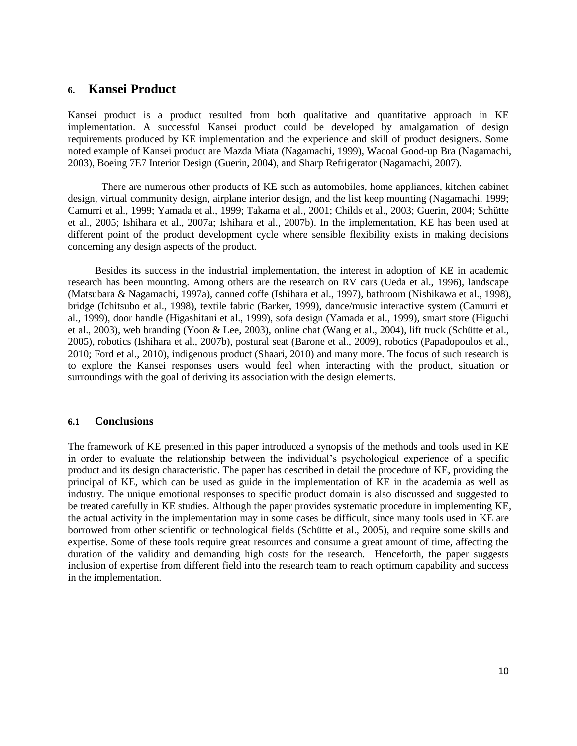# **6. Kansei Product**

Kansei product is a product resulted from both qualitative and quantitative approach in KE implementation. A successful Kansei product could be developed by amalgamation of design requirements produced by KE implementation and the experience and skill of product designers. Some noted example of Kansei product are Mazda Miata (Nagamachi, 1999), Wacoal Good-up Bra (Nagamachi, 2003), Boeing 7E7 Interior Design (Guerin, 2004), and Sharp Refrigerator (Nagamachi, 2007).

There are numerous other products of KE such as automobiles, home appliances, kitchen cabinet design, virtual community design, airplane interior design, and the list keep mounting (Nagamachi, 1999; Camurri et al., 1999; Yamada et al., 1999; Takama et al., 2001; Childs et al., 2003; Guerin, 2004; Schütte et al., 2005; Ishihara et al., 2007a; Ishihara et al., 2007b). In the implementation, KE has been used at different point of the product development cycle where sensible flexibility exists in making decisions concerning any design aspects of the product.

Besides its success in the industrial implementation, the interest in adoption of KE in academic research has been mounting. Among others are the research on RV cars (Ueda et al., 1996), landscape (Matsubara & Nagamachi, 1997a), canned coffe (Ishihara et al., 1997), bathroom (Nishikawa et al., 1998), bridge (Ichitsubo et al., 1998), textile fabric (Barker, 1999), dance/music interactive system (Camurri et al., 1999), door handle (Higashitani et al., 1999), sofa design (Yamada et al., 1999), smart store (Higuchi et al., 2003), web branding (Yoon & Lee, 2003), online chat (Wang et al., 2004), lift truck (Schütte et al., 2005), robotics (Ishihara et al., 2007b), postural seat (Barone et al., 2009), robotics (Papadopoulos et al., 2010; Ford et al., 2010), indigenous product (Shaari, 2010) and many more. The focus of such research is to explore the Kansei responses users would feel when interacting with the product, situation or surroundings with the goal of deriving its association with the design elements.

#### **6.1 Conclusions**

The framework of KE presented in this paper introduced a synopsis of the methods and tools used in KE in order to evaluate the relationship between the individual"s psychological experience of a specific product and its design characteristic. The paper has described in detail the procedure of KE, providing the principal of KE, which can be used as guide in the implementation of KE in the academia as well as industry. The unique emotional responses to specific product domain is also discussed and suggested to be treated carefully in KE studies. Although the paper provides systematic procedure in implementing KE, the actual activity in the implementation may in some cases be difficult, since many tools used in KE are borrowed from other scientific or technological fields (Schütte et al., 2005), and require some skills and expertise. Some of these tools require great resources and consume a great amount of time, affecting the duration of the validity and demanding high costs for the research. Henceforth, the paper suggests inclusion of expertise from different field into the research team to reach optimum capability and success in the implementation.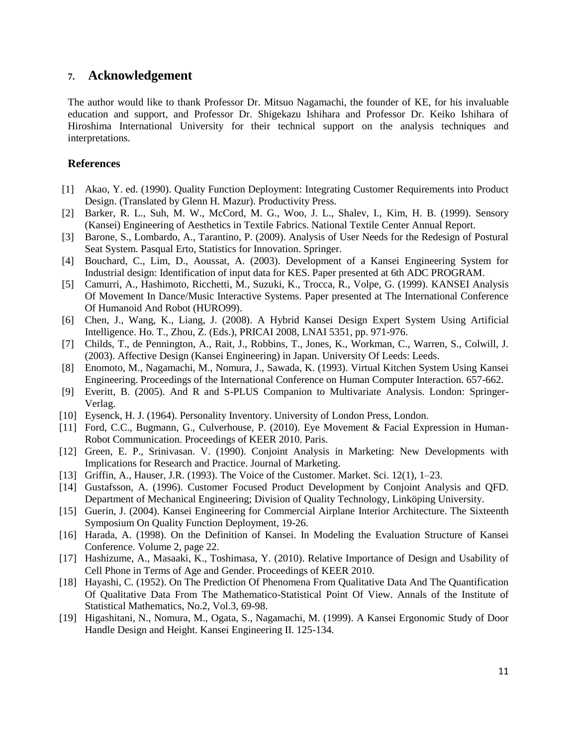# **7. Acknowledgement**

The author would like to thank Professor Dr. Mitsuo Nagamachi, the founder of KE, for his invaluable education and support, and Professor Dr. Shigekazu Ishihara and Professor Dr. Keiko Ishihara of Hiroshima International University for their technical support on the analysis techniques and interpretations.

# **References**

- [1] Akao, Y. ed. (1990). Quality Function Deployment: Integrating Customer Requirements into Product Design. (Translated by Glenn H. Mazur). Productivity Press.
- [2] Barker, R. L., Suh, M. W., McCord, M. G., Woo, J. L., Shalev, I., Kim, H. B. (1999). Sensory (Kansei) Engineering of Aesthetics in Textile Fabrics. National Textile Center Annual Report.
- [3] Barone, S., Lombardo, A., Tarantino, P. (2009). Analysis of User Needs for the Redesign of Postural Seat System. Pasqual Erto, Statistics for Innovation. Springer.
- [4] Bouchard, C., Lim, D., Aoussat, A. (2003). Development of a Kansei Engineering System for Industrial design: Identification of input data for KES. Paper presented at 6th ADC PROGRAM.
- [5] Camurri, A., Hashimoto, Ricchetti, M., Suzuki, K., Trocca, R., Volpe, G. (1999). KANSEI Analysis Of Movement In Dance/Music Interactive Systems. Paper presented at The International Conference Of Humanoid And Robot (HURO99).
- [6] Chen, J., Wang, K., Liang, J. (2008). A Hybrid Kansei Design Expert System Using Artificial Intelligence. Ho. T., Zhou, Z. (Eds.), PRICAI 2008, LNAI 5351, pp. 971-976.
- [7] Childs, T., de Pennington, A., Rait, J., Robbins, T., Jones, K., Workman, C., Warren, S., Colwill, J. (2003). Affective Design (Kansei Engineering) in Japan. University Of Leeds: Leeds.
- [8] Enomoto, M., Nagamachi, M., Nomura, J., Sawada, K. (1993). Virtual Kitchen System Using Kansei Engineering. Proceedings of the International Conference on Human Computer Interaction. 657-662.
- [9] Everitt, B. (2005). And R and S-PLUS Companion to Multivariate Analysis. London: Springer-Verlag.
- [10] Eysenck, H. J. (1964). Personality Inventory. University of London Press, London.
- [11] Ford, C.C., Bugmann, G., Culverhouse, P. (2010). Eye Movement & Facial Expression in Human-Robot Communication. Proceedings of KEER 2010. Paris.
- [12] Green, E. P., Srinivasan. V. (1990). Conjoint Analysis in Marketing: New Developments with Implications for Research and Practice. Journal of Marketing.
- [13] Griffin, A., Hauser, J.R. (1993). The Voice of the Customer. Market. Sci. 12(1), 1–23.
- [14] Gustafsson, A. (1996). Customer Focused Product Development by Conjoint Analysis and QFD. Department of Mechanical Engineering; Division of Quality Technology, Linköping University.
- [15] Guerin, J. (2004). Kansei Engineering for Commercial Airplane Interior Architecture. The Sixteenth Symposium On Quality Function Deployment, 19-26.
- [16] Harada, A. (1998). On the Definition of Kansei. In Modeling the Evaluation Structure of Kansei Conference. Volume 2, page 22.
- [17] Hashizume, A., Masaaki, K., Toshimasa, Y. (2010). Relative Importance of Design and Usability of Cell Phone in Terms of Age and Gender. Proceedings of KEER 2010.
- [18] Hayashi, C. (1952). On The Prediction Of Phenomena From Qualitative Data And The Quantification Of Qualitative Data From The Mathematico-Statistical Point Of View. Annals of the Institute of Statistical Mathematics, No.2, Vol.3, 69-98.
- [19] Higashitani, N., Nomura, M., Ogata, S., Nagamachi, M. (1999). A Kansei Ergonomic Study of Door Handle Design and Height. Kansei Engineering II. 125-134.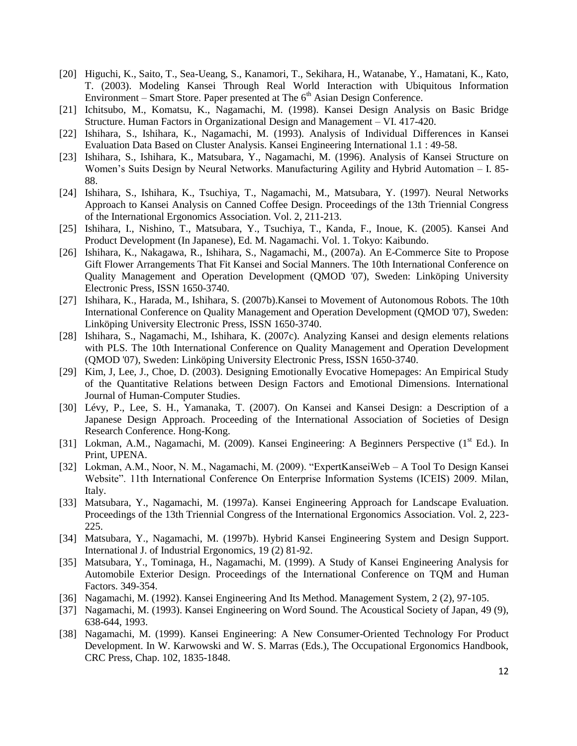- [20] Higuchi, K., Saito, T., Sea-Ueang, S., Kanamori, T., Sekihara, H., Watanabe, Y., Hamatani, K., Kato, T. (2003). Modeling Kansei Through Real World Interaction with Ubiquitous Information Environment – Smart Store. Paper presented at The  $6<sup>th</sup>$  Asian Design Conference.
- [21] Ichitsubo, M., Komatsu, K., Nagamachi, M. (1998). Kansei Design Analysis on Basic Bridge Structure. Human Factors in Organizational Design and Management – VI. 417-420.
- [22] Ishihara, S., Ishihara, K., Nagamachi, M. (1993). Analysis of Individual Differences in Kansei Evaluation Data Based on Cluster Analysis. Kansei Engineering International 1.1 : 49-58.
- [23] Ishihara, S., Ishihara, K., Matsubara, Y., Nagamachi, M. (1996). Analysis of Kansei Structure on Women's Suits Design by Neural Networks. Manufacturing Agility and Hybrid Automation – I. 85-88.
- [24] Ishihara, S., Ishihara, K., Tsuchiya, T., Nagamachi, M., Matsubara, Y. (1997). Neural Networks Approach to Kansei Analysis on Canned Coffee Design. Proceedings of the 13th Triennial Congress of the International Ergonomics Association. Vol. 2, 211-213.
- [25] Ishihara, I., Nishino, T., Matsubara, Y., Tsuchiya, T., Kanda, F., Inoue, K. (2005). Kansei And Product Development (In Japanese), Ed. M. Nagamachi. Vol. 1. Tokyo: Kaibundo.
- [26] Ishihara, K., Nakagawa, R., Ishihara, S., Nagamachi, M., (2007a). An E-Commerce Site to Propose Gift Flower Arrangements That Fit Kansei and Social Manners. The 10th International Conference on Quality Management and Operation Development (QMOD '07), Sweden: Linköping University Electronic Press, ISSN 1650-3740.
- [27] Ishihara, K., Harada, M., Ishihara, S. (2007b).Kansei to Movement of Autonomous Robots. The 10th International Conference on Quality Management and Operation Development (QMOD '07), Sweden: Linköping University Electronic Press, ISSN 1650-3740.
- [28] Ishihara, S., Nagamachi, M., Ishihara, K. (2007c). Analyzing Kansei and design elements relations with PLS. The 10th International Conference on Quality Management and Operation Development (QMOD '07), Sweden: Linköping University Electronic Press, ISSN 1650-3740.
- [29] Kim, J, Lee, J., Choe, D. (2003). Designing Emotionally Evocative Homepages: An Empirical Study of the Quantitative Relations between Design Factors and Emotional Dimensions. International Journal of Human-Computer Studies.
- [30] Lévy, P., Lee, S. H., Yamanaka, T. (2007). On Kansei and Kansei Design: a Description of a Japanese Design Approach. Proceeding of the International Association of Societies of Design Research Conference. Hong-Kong.
- [31] Lokman, A.M., Nagamachi, M. (2009). Kansei Engineering: A Beginners Perspective  $(1<sup>st</sup> Ed.)$ . In Print, UPENA.
- [32] Lokman, A.M., Noor, N. M., Nagamachi, M. (2009). "ExpertKanseiWeb A Tool To Design Kansei Website". 11th International Conference On Enterprise Information Systems (ICEIS) 2009. Milan, Italy.
- [33] Matsubara, Y., Nagamachi, M. (1997a). Kansei Engineering Approach for Landscape Evaluation. Proceedings of the 13th Triennial Congress of the International Ergonomics Association. Vol. 2, 223- 225.
- [34] Matsubara, Y., Nagamachi, M. (1997b). Hybrid Kansei Engineering System and Design Support. International J. of Industrial Ergonomics, 19 (2) 81-92.
- [35] Matsubara, Y., Tominaga, H., Nagamachi, M. (1999). A Study of Kansei Engineering Analysis for Automobile Exterior Design. Proceedings of the International Conference on TQM and Human Factors. 349-354.
- [36] Nagamachi, M. (1992). Kansei Engineering And Its Method. Management System, 2 (2), 97-105.
- [37] Nagamachi, M. (1993). Kansei Engineering on Word Sound. The Acoustical Society of Japan, 49 (9), 638-644, 1993.
- [38] Nagamachi, M. (1999). Kansei Engineering: A New Consumer-Oriented Technology For Product Development. In W. Karwowski and W. S. Marras (Eds.), The Occupational Ergonomics Handbook, CRC Press, Chap. 102, 1835-1848.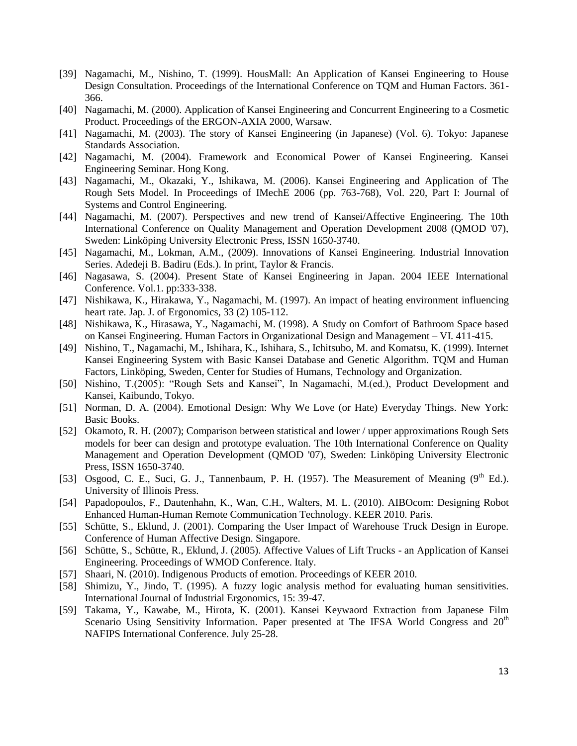- [39] Nagamachi, M., Nishino, T. (1999). HousMall: An Application of Kansei Engineering to House Design Consultation. Proceedings of the International Conference on TQM and Human Factors. 361- 366.
- [40] Nagamachi, M. (2000). Application of Kansei Engineering and Concurrent Engineering to a Cosmetic Product. Proceedings of the ERGON-AXIA 2000, Warsaw.
- [41] Nagamachi, M. (2003). The story of Kansei Engineering (in Japanese) (Vol. 6). Tokyo: Japanese Standards Association.
- [42] Nagamachi, M. (2004). Framework and Economical Power of Kansei Engineering. Kansei Engineering Seminar. Hong Kong.
- [43] Nagamachi, M., Okazaki, Y., Ishikawa, M. (2006). Kansei Engineering and Application of The Rough Sets Model. In Proceedings of IMechE 2006 (pp. 763-768), Vol. 220, Part I: Journal of Systems and Control Engineering.
- [44] Nagamachi, M. (2007). Perspectives and new trend of Kansei/Affective Engineering. The 10th International Conference on Quality Management and Operation Development 2008 (QMOD '07), Sweden: Linköping University Electronic Press, ISSN 1650-3740.
- [45] Nagamachi, M., Lokman, A.M., (2009). Innovations of Kansei Engineering. Industrial Innovation Series. Adedeji B. Badiru (Eds.). In print, Taylor & Francis.
- [46] Nagasawa, S. (2004). Present State of Kansei Engineering in Japan. 2004 IEEE International Conference. Vol.1. pp:333-338.
- [47] Nishikawa, K., Hirakawa, Y., Nagamachi, M. (1997). An impact of heating environment influencing heart rate. Jap. J. of Ergonomics, 33 (2) 105-112.
- [48] Nishikawa, K., Hirasawa, Y., Nagamachi, M. (1998). A Study on Comfort of Bathroom Space based on Kansei Engineering. Human Factors in Organizational Design and Management – VI. 411-415.
- [49] Nishino, T., Nagamachi, M., Ishihara, K., Ishihara, S., Ichitsubo, M. and Komatsu, K. (1999). Internet Kansei Engineering System with Basic Kansei Database and Genetic Algorithm. TQM and Human Factors, Linköping, Sweden, Center for Studies of Humans, Technology and Organization.
- [50] Nishino, T.(2005): "Rough Sets and Kansei", In Nagamachi, M.(ed.), Product Development and Kansei, Kaibundo, Tokyo.
- [51] Norman, D. A. (2004). Emotional Design: Why We Love (or Hate) Everyday Things. New York: Basic Books.
- [52] Okamoto, R. H. (2007); Comparison between statistical and lower / upper approximations Rough Sets models for beer can design and prototype evaluation. The 10th International Conference on Quality Management and Operation Development (QMOD '07), Sweden: Linköping University Electronic Press, ISSN 1650-3740.
- [53] Osgood, C. E., Suci, G. J., Tannenbaum, P. H. (1957). The Measurement of Meaning  $(9<sup>th</sup> Ed.)$ . University of Illinois Press.
- [54] Papadopoulos, F., Dautenhahn, K., Wan, C.H., Walters, M. L. (2010). AIBOcom: Designing Robot Enhanced Human-Human Remote Communication Technology. KEER 2010. Paris.
- [55] Schütte, S., Eklund, J. (2001). Comparing the User Impact of Warehouse Truck Design in Europe. Conference of Human Affective Design. Singapore.
- [56] Schütte, S., Schütte, R., Eklund, J. (2005). Affective Values of Lift Trucks an Application of Kansei Engineering. Proceedings of WMOD Conference. Italy.
- [57] Shaari, N. (2010). Indigenous Products of emotion. Proceedings of KEER 2010.
- [58] Shimizu, Y., Jindo, T. (1995). A fuzzy logic analysis method for evaluating human sensitivities. International Journal of Industrial Ergonomics, 15: 39-47.
- [59] Takama, Y., Kawabe, M., Hirota, K. (2001). Kansei Keywaord Extraction from Japanese Film Scenario Using Sensitivity Information. Paper presented at The IFSA World Congress and  $20<sup>th</sup>$ NAFIPS International Conference. July 25-28.